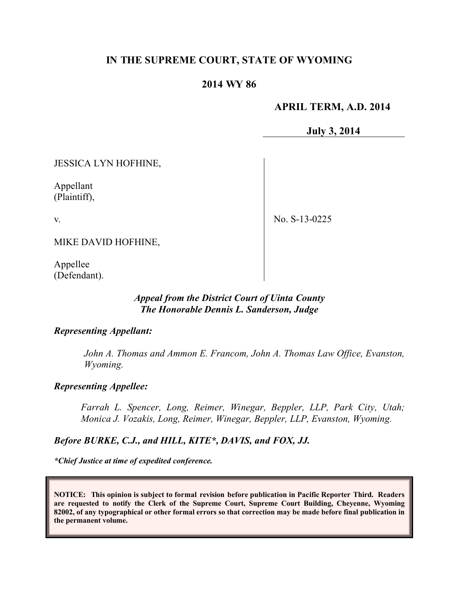# **IN THE SUPREME COURT, STATE OF WYOMING**

## **2014 WY 86**

## **APRIL TERM, A.D. 2014**

**July 3, 2014**

JESSICA LYN HOFHINE,

Appellant (Plaintiff),

v.

No. S-13-0225

MIKE DAVID HOFHINE,

Appellee (Defendant).

### *Appeal from the District Court of Uinta County The Honorable Dennis L. Sanderson, Judge*

### *Representing Appellant:*

*John A. Thomas and Ammon E. Francom, John A. Thomas Law Office, Evanston, Wyoming.*

#### *Representing Appellee:*

*Farrah L. Spencer, Long, Reimer, Winegar, Beppler, LLP, Park City, Utah; Monica J. Vozakis, Long, Reimer, Winegar, Beppler, LLP, Evanston, Wyoming.*

*Before BURKE, C.J., and HILL, KITE\*, DAVIS, and FOX, JJ.*

*\*Chief Justice at time of expedited conference.*

**NOTICE: This opinion is subject to formal revision before publication in Pacific Reporter Third. Readers are requested to notify the Clerk of the Supreme Court, Supreme Court Building, Cheyenne, Wyoming 82002, of any typographical or other formal errors so that correction may be made before final publication in the permanent volume.**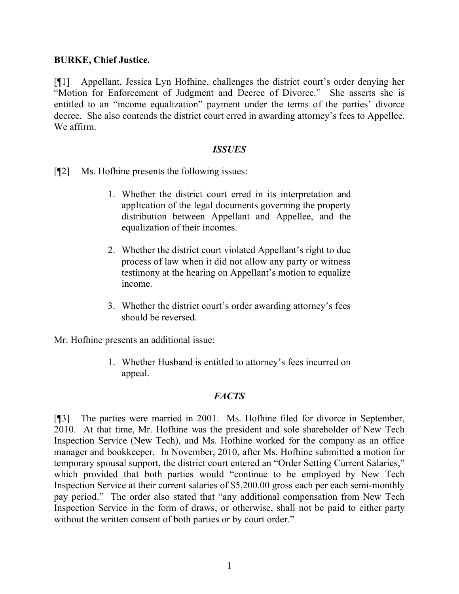## **BURKE, Chief Justice.**

[¶1] Appellant, Jessica Lyn Hofhine, challenges the district court's order denying her "Motion for Enforcement of Judgment and Decree of Divorce." She asserts she is entitled to an "income equalization" payment under the terms of the parties' divorce decree. She also contends the district court erred in awarding attorney's fees to Appellee. We affirm.

## *ISSUES*

[¶2] Ms. Hofhine presents the following issues:

- 1. Whether the district court erred in its interpretation and application of the legal documents governing the property distribution between Appellant and Appellee, and the equalization of their incomes.
- 2. Whether the district court violated Appellant's right to due process of law when it did not allow any party or witness testimony at the hearing on Appellant's motion to equalize income.
- 3. Whether the district court's order awarding attorney's fees should be reversed.

Mr. Hofhine presents an additional issue:

1. Whether Husband is entitled to attorney's fees incurred on appeal.

### *FACTS*

[¶3] The parties were married in 2001. Ms. Hofhine filed for divorce in September, 2010. At that time, Mr. Hofhine was the president and sole shareholder of New Tech Inspection Service (New Tech), and Ms. Hofhine worked for the company as an office manager and bookkeeper. In November, 2010, after Ms. Hofhine submitted a motion for temporary spousal support, the district court entered an "Order Setting Current Salaries," which provided that both parties would "continue to be employed by New Tech Inspection Service at their current salaries of \$5,200.00 gross each per each semi-monthly pay period." The order also stated that "any additional compensation from New Tech Inspection Service in the form of draws, or otherwise, shall not be paid to either party without the written consent of both parties or by court order."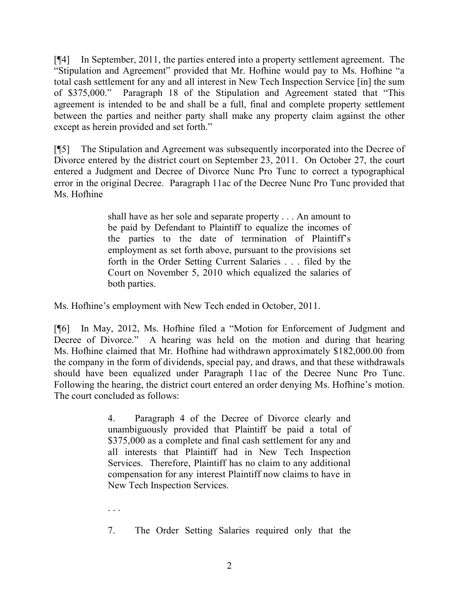[¶4] In September, 2011, the parties entered into a property settlement agreement. The "Stipulation and Agreement" provided that Mr. Hofhine would pay to Ms. Hofhine "a total cash settlement for any and all interest in New Tech Inspection Service [in] the sum of \$375,000." Paragraph 18 of the Stipulation and Agreement stated that "This agreement is intended to be and shall be a full, final and complete property settlement between the parties and neither party shall make any property claim against the other except as herein provided and set forth."

[¶5] The Stipulation and Agreement was subsequently incorporated into the Decree of Divorce entered by the district court on September 23, 2011. On October 27, the court entered a Judgment and Decree of Divorce Nunc Pro Tunc to correct a typographical error in the original Decree. Paragraph 11ac of the Decree Nunc Pro Tunc provided that Ms. Hofhine

> shall have as her sole and separate property . . . An amount to be paid by Defendant to Plaintiff to equalize the incomes of the parties to the date of termination of Plaintiff's employment as set forth above, pursuant to the provisions set forth in the Order Setting Current Salaries . . . filed by the Court on November 5, 2010 which equalized the salaries of both parties.

Ms. Hofhine's employment with New Tech ended in October, 2011.

[¶6] In May, 2012, Ms. Hofhine filed a "Motion for Enforcement of Judgment and Decree of Divorce." A hearing was held on the motion and during that hearing Ms. Hofhine claimed that Mr. Hofhine had withdrawn approximately \$182,000.00 from the company in the form of dividends, special pay, and draws, and that these withdrawals should have been equalized under Paragraph 11ac of the Decree Nunc Pro Tunc. Following the hearing, the district court entered an order denying Ms. Hofhine's motion. The court concluded as follows:

> 4. Paragraph 4 of the Decree of Divorce clearly and unambiguously provided that Plaintiff be paid a total of \$375,000 as a complete and final cash settlement for any and all interests that Plaintiff had in New Tech Inspection Services. Therefore, Plaintiff has no claim to any additional compensation for any interest Plaintiff now claims to have in New Tech Inspection Services.

. . .

7. The Order Setting Salaries required only that the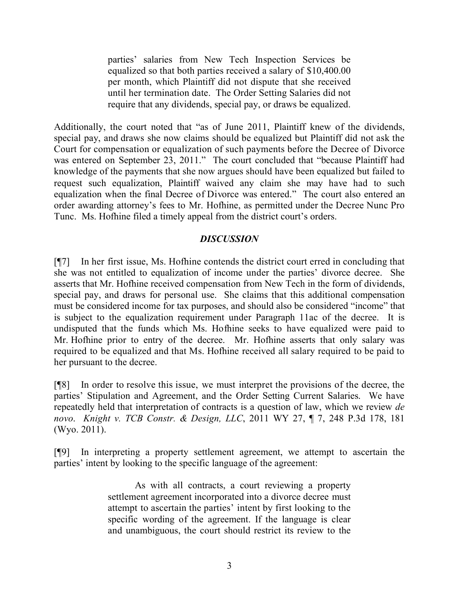parties' salaries from New Tech Inspection Services be equalized so that both parties received a salary of \$10,400.00 per month, which Plaintiff did not dispute that she received until her termination date. The Order Setting Salaries did not require that any dividends, special pay, or draws be equalized.

Additionally, the court noted that "as of June 2011, Plaintiff knew of the dividends, special pay, and draws she now claims should be equalized but Plaintiff did not ask the Court for compensation or equalization of such payments before the Decree of Divorce was entered on September 23, 2011." The court concluded that "because Plaintiff had knowledge of the payments that she now argues should have been equalized but failed to request such equalization, Plaintiff waived any claim she may have had to such equalization when the final Decree of Divorce was entered." The court also entered an order awarding attorney's fees to Mr. Hofhine, as permitted under the Decree Nunc Pro Tunc. Ms. Hofhine filed a timely appeal from the district court's orders.

# *DISCUSSION*

[¶7] In her first issue, Ms. Hofhine contends the district court erred in concluding that she was not entitled to equalization of income under the parties' divorce decree. She asserts that Mr. Hofhine received compensation from New Tech in the form of dividends, special pay, and draws for personal use. She claims that this additional compensation must be considered income for tax purposes, and should also be considered "income" that is subject to the equalization requirement under Paragraph 11ac of the decree. It is undisputed that the funds which Ms. Hofhine seeks to have equalized were paid to Mr. Hofhine prior to entry of the decree. Mr. Hofhine asserts that only salary was required to be equalized and that Ms. Hofhine received all salary required to be paid to her pursuant to the decree.

[¶8] In order to resolve this issue, we must interpret the provisions of the decree, the parties' Stipulation and Agreement, and the Order Setting Current Salaries. We have repeatedly held that interpretation of contracts is a question of law, which we review *de novo*. *Knight v. TCB Constr. & Design, LLC*, 2011 WY 27, ¶ 7, 248 P.3d 178, 181 (Wyo. 2011).

[¶9] In interpreting a property settlement agreement, we attempt to ascertain the parties' intent by looking to the specific language of the agreement:

> As with all contracts, a court reviewing a property settlement agreement incorporated into a divorce decree must attempt to ascertain the parties' intent by first looking to the specific wording of the agreement. If the language is clear and unambiguous, the court should restrict its review to the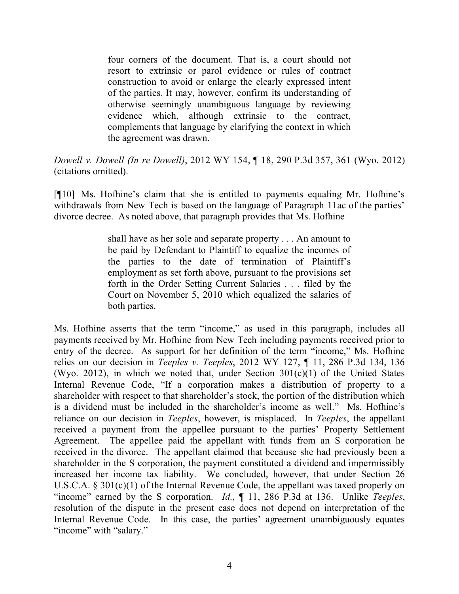four corners of the document. That is, a court should not resort to extrinsic or parol evidence or rules of contract construction to avoid or enlarge the clearly expressed intent of the parties. It may, however, confirm its understanding of otherwise seemingly unambiguous language by reviewing evidence which, although extrinsic to the contract, complements that language by clarifying the context in which the agreement was drawn.

*Dowell v. Dowell (In re Dowell)*, 2012 WY 154, ¶ 18, 290 P.3d 357, 361 (Wyo. 2012) (citations omitted).

[¶10] Ms. Hofhine's claim that she is entitled to payments equaling Mr. Hofhine's withdrawals from New Tech is based on the language of Paragraph 11ac of the parties' divorce decree. As noted above, that paragraph provides that Ms. Hofhine

> shall have as her sole and separate property . . . An amount to be paid by Defendant to Plaintiff to equalize the incomes of the parties to the date of termination of Plaintiff's employment as set forth above, pursuant to the provisions set forth in the Order Setting Current Salaries . . . filed by the Court on November 5, 2010 which equalized the salaries of both parties.

Ms. Hofhine asserts that the term "income," as used in this paragraph, includes all payments received by Mr. Hofhine from New Tech including payments received prior to entry of the decree. As support for her definition of the term "income," Ms. Hofhine relies on our decision in *Teeples v. Teeples*, 2012 WY 127, ¶ 11, 286 P.3d 134, 136 (Wyo. 2012), in which we noted that, under Section  $301(c)(1)$  of the United States Internal Revenue Code, "If a corporation makes a distribution of property to a shareholder with respect to that shareholder's stock, the portion of the distribution which is a dividend must be included in the shareholder's income as well." Ms. Hofhine's reliance on our decision in *Teeples*, however, is misplaced. In *Teeples*, the appellant received a payment from the appellee pursuant to the parties' Property Settlement Agreement. The appellee paid the appellant with funds from an S corporation he received in the divorce. The appellant claimed that because she had previously been a shareholder in the S corporation, the payment constituted a dividend and impermissibly increased her income tax liability. We concluded, however, that under Section 26 U.S.C.A. § 301(c)(1) of the Internal Revenue Code, the appellant was taxed properly on "income" earned by the S corporation. *Id.*, ¶ 11, 286 P.3d at 136. Unlike *Teeples*, resolution of the dispute in the present case does not depend on interpretation of the Internal Revenue Code. In this case, the parties' agreement unambiguously equates "income" with "salary."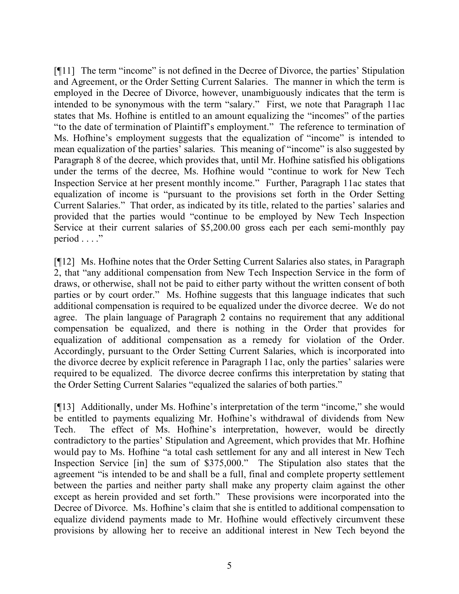[¶11] The term "income" is not defined in the Decree of Divorce, the parties' Stipulation and Agreement, or the Order Setting Current Salaries. The manner in which the term is employed in the Decree of Divorce, however, unambiguously indicates that the term is intended to be synonymous with the term "salary." First, we note that Paragraph 11ac states that Ms. Hofhine is entitled to an amount equalizing the "incomes" of the parties "to the date of termination of Plaintiff's employment." The reference to termination of Ms. Hofhine's employment suggests that the equalization of "income" is intended to mean equalization of the parties' salaries. This meaning of "income" is also suggested by Paragraph 8 of the decree, which provides that, until Mr. Hofhine satisfied his obligations under the terms of the decree, Ms. Hofhine would "continue to work for New Tech Inspection Service at her present monthly income." Further, Paragraph 11ac states that equalization of income is "pursuant to the provisions set forth in the Order Setting Current Salaries." That order, as indicated by its title, related to the parties' salaries and provided that the parties would "continue to be employed by New Tech Inspection Service at their current salaries of \$5,200.00 gross each per each semi-monthly pay period  $\ldots$ "

[¶12] Ms. Hofhine notes that the Order Setting Current Salaries also states, in Paragraph 2, that "any additional compensation from New Tech Inspection Service in the form of draws, or otherwise, shall not be paid to either party without the written consent of both parties or by court order." Ms. Hofhine suggests that this language indicates that such additional compensation is required to be equalized under the divorce decree. We do not agree. The plain language of Paragraph 2 contains no requirement that any additional compensation be equalized, and there is nothing in the Order that provides for equalization of additional compensation as a remedy for violation of the Order. Accordingly, pursuant to the Order Setting Current Salaries, which is incorporated into the divorce decree by explicit reference in Paragraph 11ac, only the parties' salaries were required to be equalized. The divorce decree confirms this interpretation by stating that the Order Setting Current Salaries "equalized the salaries of both parties."

[¶13] Additionally, under Ms. Hofhine's interpretation of the term "income," she would be entitled to payments equalizing Mr. Hofhine's withdrawal of dividends from New Tech. The effect of Ms. Hofhine's interpretation, however, would be directly contradictory to the parties' Stipulation and Agreement, which provides that Mr. Hofhine would pay to Ms. Hofhine "a total cash settlement for any and all interest in New Tech Inspection Service [in] the sum of \$375,000." The Stipulation also states that the agreement "is intended to be and shall be a full, final and complete property settlement between the parties and neither party shall make any property claim against the other except as herein provided and set forth." These provisions were incorporated into the Decree of Divorce. Ms. Hofhine's claim that she is entitled to additional compensation to equalize dividend payments made to Mr. Hofhine would effectively circumvent these provisions by allowing her to receive an additional interest in New Tech beyond the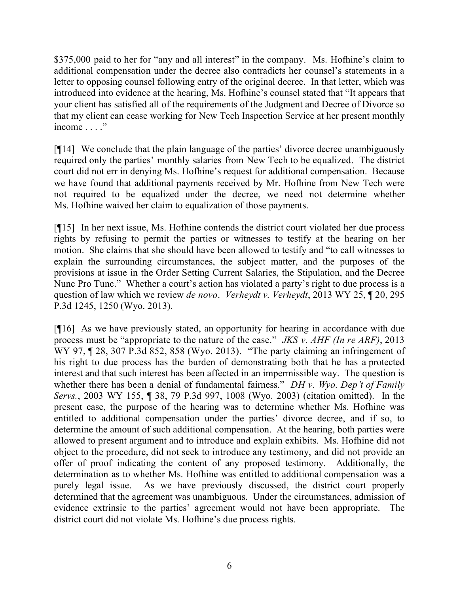\$375,000 paid to her for "any and all interest" in the company. Ms. Hofhine's claim to additional compensation under the decree also contradicts her counsel's statements in a letter to opposing counsel following entry of the original decree. In that letter, which was introduced into evidence at the hearing, Ms. Hofhine's counsel stated that "It appears that your client has satisfied all of the requirements of the Judgment and Decree of Divorce so that my client can cease working for New Tech Inspection Service at her present monthly income . . . ."

[¶14] We conclude that the plain language of the parties' divorce decree unambiguously required only the parties' monthly salaries from New Tech to be equalized. The district court did not err in denying Ms. Hofhine's request for additional compensation. Because we have found that additional payments received by Mr. Hofhine from New Tech were not required to be equalized under the decree, we need not determine whether Ms. Hofhine waived her claim to equalization of those payments.

[¶15] In her next issue, Ms. Hofhine contends the district court violated her due process rights by refusing to permit the parties or witnesses to testify at the hearing on her motion. She claims that she should have been allowed to testify and "to call witnesses to explain the surrounding circumstances, the subject matter, and the purposes of the provisions at issue in the Order Setting Current Salaries, the Stipulation, and the Decree Nunc Pro Tunc." Whether a court's action has violated a party's right to due process is a question of law which we review *de novo*. *Verheydt v. Verheydt*, 2013 WY 25, ¶ 20, 295 P.3d 1245, 1250 (Wyo. 2013).

[¶16] As we have previously stated, an opportunity for hearing in accordance with due process must be "appropriate to the nature of the case." *JKS v. AHF (In re ARF)*, 2013 WY 97, ¶ 28, 307 P.3d 852, 858 (Wyo. 2013). "The party claiming an infringement of his right to due process has the burden of demonstrating both that he has a protected interest and that such interest has been affected in an impermissible way. The question is whether there has been a denial of fundamental fairness." *DH v. Wyo. Dep't of Family Servs.*, 2003 WY 155, ¶ 38, 79 P.3d 997, 1008 (Wyo. 2003) (citation omitted). In the present case, the purpose of the hearing was to determine whether Ms. Hofhine was entitled to additional compensation under the parties' divorce decree, and if so, to determine the amount of such additional compensation. At the hearing, both parties were allowed to present argument and to introduce and explain exhibits. Ms. Hofhine did not object to the procedure, did not seek to introduce any testimony, and did not provide an offer of proof indicating the content of any proposed testimony. Additionally, the determination as to whether Ms. Hofhine was entitled to additional compensation was a purely legal issue. As we have previously discussed, the district court properly determined that the agreement was unambiguous. Under the circumstances, admission of evidence extrinsic to the parties' agreement would not have been appropriate. The district court did not violate Ms. Hofhine's due process rights.